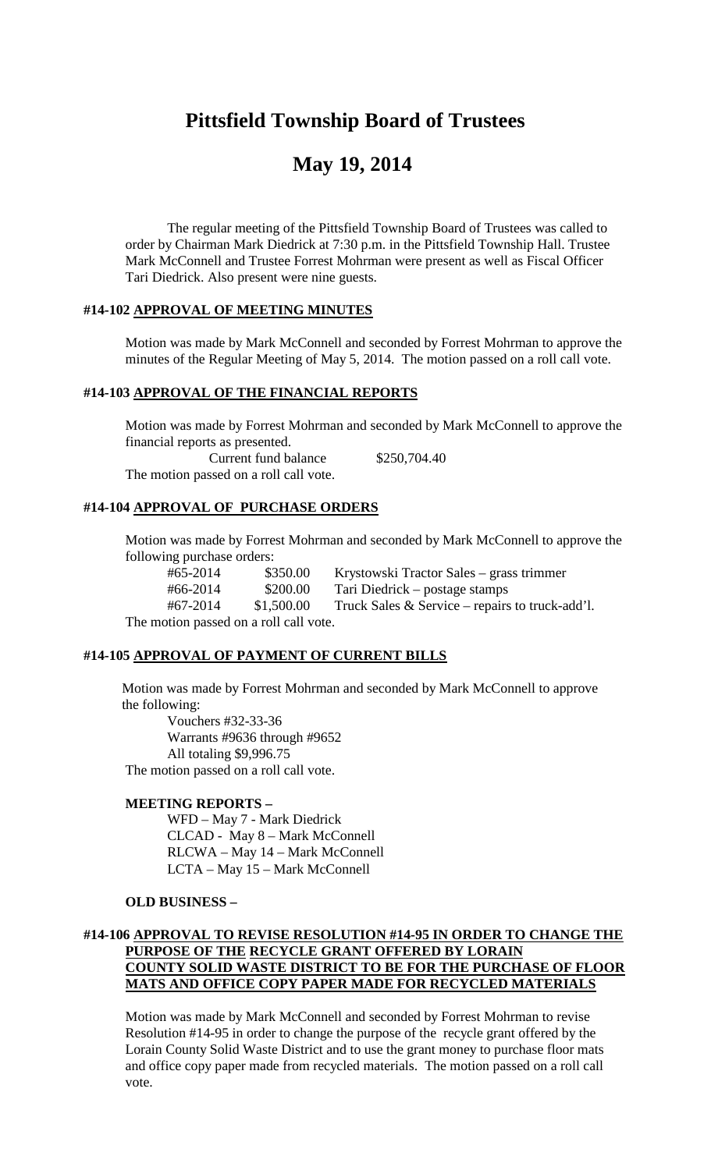## **Pittsfield Township Board of Trustees**

# **May 19, 2014**

The regular meeting of the Pittsfield Township Board of Trustees was called to order by Chairman Mark Diedrick at 7:30 p.m. in the Pittsfield Township Hall. Trustee Mark McConnell and Trustee Forrest Mohrman were present as well as Fiscal Officer Tari Diedrick. Also present were nine guests.

## **#14-102 APPROVAL OF MEETING MINUTES**

Motion was made by Mark McConnell and seconded by Forrest Mohrman to approve the minutes of the Regular Meeting of May 5, 2014. The motion passed on a roll call vote.

## **#14-103 APPROVAL OF THE FINANCIAL REPORTS**

Motion was made by Forrest Mohrman and seconded by Mark McConnell to approve the financial reports as presented. Current fund balance \$250,704.40 The motion passed on a roll call vote.

## **#14-104 APPROVAL OF PURCHASE ORDERS**

Motion was made by Forrest Mohrman and seconded by Mark McConnell to approve the following purchase orders:

#65-2014 \$350.00 Krystowski Tractor Sales – grass trimmer #66-2014 \$200.00 Tari Diedrick – postage stamps #67-2014 \$1,500.00 Truck Sales & Service – repairs to truck-add'l. The motion passed on a roll call vote.

## **#14-105 APPROVAL OF PAYMENT OF CURRENT BILLS**

Motion was made by Forrest Mohrman and seconded by Mark McConnell to approve the following:

Vouchers #32-33-36 Warrants #9636 through #9652 All totaling \$9,996.75 The motion passed on a roll call vote.

## **MEETING REPORTS –**

WFD – May 7 - Mark Diedrick CLCAD - May 8 – Mark McConnell RLCWA – May 14 – Mark McConnell LCTA – May 15 – Mark McConnell

## **OLD BUSINESS –**

## **#14-106 APPROVAL TO REVISE RESOLUTION #14-95 IN ORDER TO CHANGE THE PURPOSE OF THE RECYCLE GRANT OFFERED BY LORAIN COUNTY SOLID WASTE DISTRICT TO BE FOR THE PURCHASE OF FLOOR MATS AND OFFICE COPY PAPER MADE FOR RECYCLED MATERIALS**

Motion was made by Mark McConnell and seconded by Forrest Mohrman to revise Resolution #14-95 in order to change the purpose of the recycle grant offered by the Lorain County Solid Waste District and to use the grant money to purchase floor mats and office copy paper made from recycled materials. The motion passed on a roll call vote.